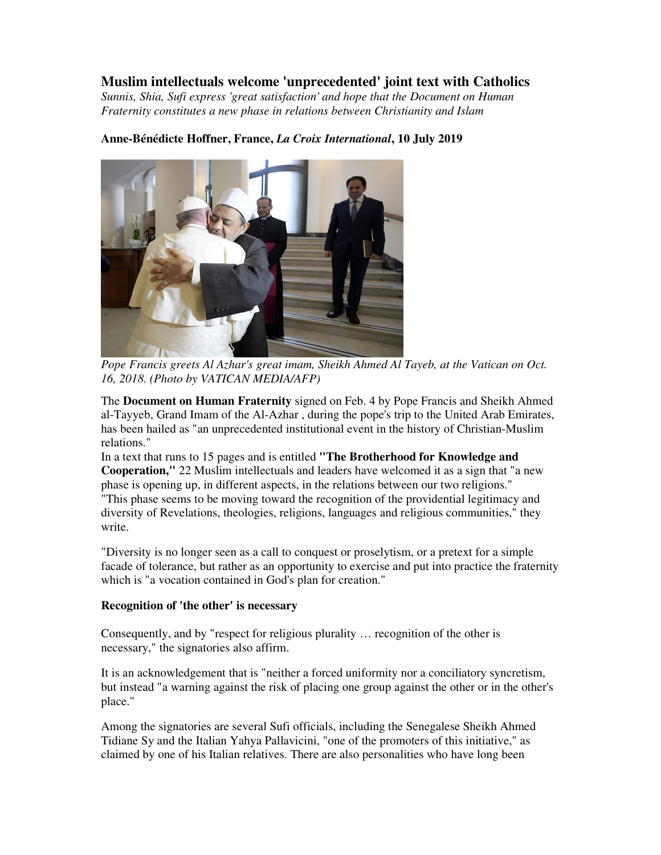## **Muslim intellectuals welcome 'unprecedented' joint text with Catholics**

*Sunnis, Shia, Sufi express 'great satisfaction' and hope that the Document on Human Fraternity constitutes a new phase in relations between Christianity and Islam* 



## **Anne-Bénédicte Hoffner, France,** *La Croix International***, 10 July 2019**

*Pope Francis greets Al Azhar's great imam, Sheikh Ahmed Al Tayeb, at the Vatican on Oct. 16, 2018. (Photo by VATICAN MEDIA/AFP)*

The **Document on Human Fraternity** signed on Feb. 4 by Pope Francis and Sheikh Ahmed al-Tayyeb, Grand Imam of the Al-Azhar , during the pope's trip to the United Arab Emirates, has been hailed as "an unprecedented institutional event in the history of Christian-Muslim relations."

In a text that runs to 15 pages and is entitled **"The Brotherhood for Knowledge and Cooperation,"** 22 Muslim intellectuals and leaders have welcomed it as a sign that "a new phase is opening up, in different aspects, in the relations between our two religions." "This phase seems to be moving toward the recognition of the providential legitimacy and diversity of Revelations, theologies, religions, languages and religious communities," they write.

"Diversity is no longer seen as a call to conquest or proselytism, or a pretext for a simple facade of tolerance, but rather as an opportunity to exercise and put into practice the fraternity which is "a vocation contained in God's plan for creation."

## **Recognition of 'the other' is necessary**

Consequently, and by "respect for religious plurality … recognition of the other is necessary," the signatories also affirm.

It is an acknowledgement that is "neither a forced uniformity nor a conciliatory syncretism, but instead "a warning against the risk of placing one group against the other or in the other's place."

Among the signatories are several Sufi officials, including the Senegalese Sheikh Ahmed Tidiane Sy and the Italian Yahya Pallavicini, "one of the promoters of this initiative," as claimed by one of his Italian relatives. There are also personalities who have long been